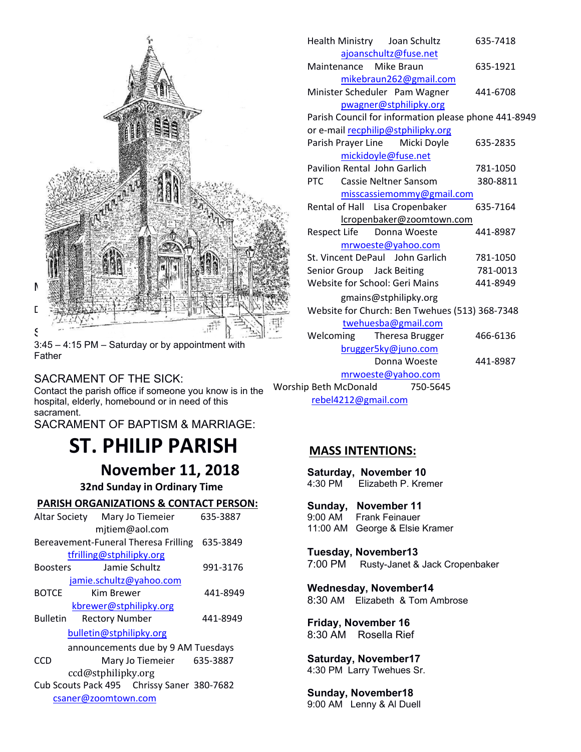

3:45 – 4:15 PM – Saturday or by appointment with Father

## SACRAMENT OF THE SICK:

Contact the parish office if someone you know is in the Worsh hospital, elderly, homebound or in need of this sacrament.

SACRAMENT OF BAPTISM & MARRIAGE:

# **ST. PHILIP PARISH**

**November 11, 2018** Saturda<br> **Sunday in Ordinary Time** 4:30 PM

 **32nd Sunday in Ordinary Time**

#### **PARISH ORGANIZATIONS & CONTACT PERSON:**

|                 | Altar Society Mary Jo Tiemeier<br>mjtiem@aol.com                                      | 635-3887 | 9:00 AM<br>11:00 AN                |
|-----------------|---------------------------------------------------------------------------------------|----------|------------------------------------|
|                 | Bereavement-Funeral Theresa Frilling<br>tfrilling@stphilipky.org                      | 635-3849 | Tuesda                             |
| <b>Boosters</b> | Jamie Schultz                                                                         | 991-3176 | 7:00 PM                            |
| <b>BOTCE</b>    | jamie.schultz@yahoo.com<br>Kim Brewer<br>kbrewer@stphilipky.org                       | 441-8949 | <b>Wednes</b><br>8:30 AM           |
| <b>Bulletin</b> | <b>Rectory Number</b><br>bulletin@stphilipky.org                                      | 441-8949 | Friday,<br>8:30 AM                 |
| <b>CCD</b>      | announcements due by 9 AM Tuesdays<br>Mary Jo Tiemeier 635-3887<br>ccd@stphilipky.org |          | <b>Saturda</b><br>4:30 PM          |
|                 | Cub Scouts Pack 495 Chrissy Saner 380-7682<br>csaner@zoomtown.com                     |          | <b>Sunday</b><br>$9.00 \text{ AM}$ |

| Health Ministry<br>Joan Schultz                      | 635-7418 |  |  |  |
|------------------------------------------------------|----------|--|--|--|
| ajoanschultz@fuse.net                                |          |  |  |  |
| Maintenance Mike Braun                               | 635-1921 |  |  |  |
| mikebraun262@gmail.com                               |          |  |  |  |
| Minister Scheduler Pam Wagner                        | 441-6708 |  |  |  |
| pwagner@stphilipky.org                               |          |  |  |  |
| Parish Council for information please phone 441-8949 |          |  |  |  |
| or e-mail recphilip@stphilipky.org                   |          |  |  |  |
| Parish Prayer Line Micki Doyle                       | 635-2835 |  |  |  |
| mickidoyle@fuse.net                                  |          |  |  |  |
| Pavilion Rental John Garlich                         | 781-1050 |  |  |  |
| Cassie Neltner Sansom<br><b>PTC</b>                  | 380-8811 |  |  |  |
| misscassiemommy@gmail.com                            |          |  |  |  |
| Rental of Hall Lisa Cropenbaker                      | 635-7164 |  |  |  |
| lcropenbaker@zoomtown.com                            |          |  |  |  |
| Respect Life<br>Donna Woeste                         | 441-8987 |  |  |  |
| mrwoeste@yahoo.com                                   |          |  |  |  |
| St. Vincent DePaul John Garlich                      | 781-1050 |  |  |  |
| Senior Group Jack Beiting                            | 781-0013 |  |  |  |
| Website for School: Geri Mains                       | 441-8949 |  |  |  |
| gmains@stphilipky.org                                |          |  |  |  |
| Website for Church: Ben Twehues (513) 368-7348       |          |  |  |  |
| twehuesba@gmail.com                                  |          |  |  |  |
| Welcoming<br>Theresa Brugger                         | 466-6136 |  |  |  |
| brugger5ky@juno.com                                  |          |  |  |  |
| Donna Woeste                                         | 441-8987 |  |  |  |
| mrwoeste@yahoo.com                                   |          |  |  |  |
| Worship Beth McDonald<br>750-5645                    |          |  |  |  |
| rebel4212@gmail.com                                  |          |  |  |  |

## **MASS INTENTIONS:**

**Saturday, November 10** Elizabeth P. Kremer **Sunday, November 11**<br>9:00 AM Frank Feinauer **Frank Feinauer** 11:00 AM George & Elsie Kramer

**Tuesday, November13** 7:00 PM Rusty-Janet & Jack Cropenbaker

**Wednesday, November14** 8:30 AM Elizabeth & Tom Ambrose

**Friday, November 16**  8:30 AMRosella Rief

**Saturday, November17** 4:30 PM Larry Twehues Sr.

**Sunday, November18** 9:00 AM Lenny & Al Duell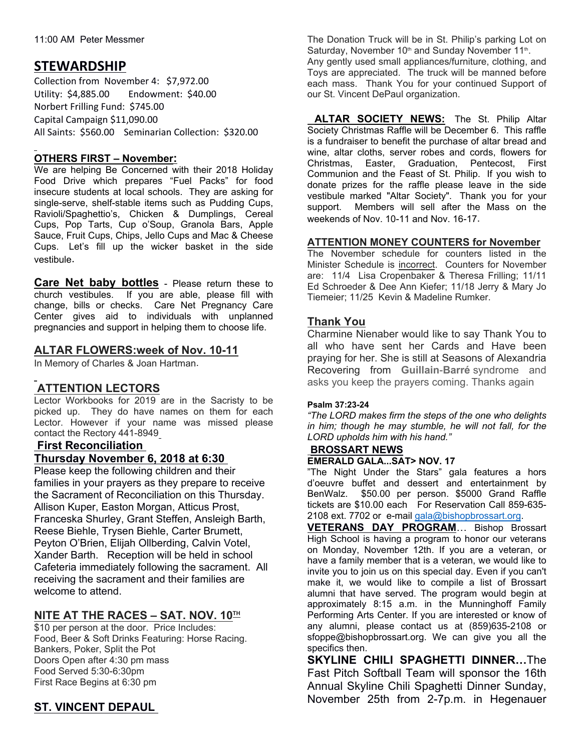# **STEWARDSHIP**

Collection from November 4: \$7,972.00 Utility: \$4,885.00 Endowment: \$40.00 Norbert Frilling Fund: \$745.00 Capital Campaign \$11,090.00 All Saints: \$560.00 Seminarian Collection: \$320.00

## **OTHERS FIRST – November:**

We are helping Be Concerned with their 2018 Holiday Food Drive which prepares "Fuel Packs" for food insecure students at local schools. They are asking for single-serve, shelf-stable items such as Pudding Cups, Ravioli/Spaghettio's, Chicken & Dumplings, Cereal Cups, Pop Tarts, Cup o'Soup, Granola Bars, Apple Sauce, Fruit Cups, Chips, Jello Cups and Mac & Cheese Cups. Let's fill up the wicker basket in the side vestibule.

**Care Net baby bottles** - Please return these to church vestibules. If you are able, please fill with change, bills or checks. Care Net Pregnancy Care Center gives aid to individuals with unplanned  $\tau_{\text{he}}$ pregnancies and support in helping them to choose life.

## **ALTAR FLOWERS:week of Nov. 10-11**

In Memory of Charles & Joan Hartman.

# **ATTENTION LECTORS**

Lector Workbooks for 2019 are in the Sacristy to be picked up. They do have names on them for each Lector. However if your name was missed please contact the Rectory 441-8949

#### **First Reconciliation Thursday November 6, 2018 at 6:30**

Please keep the following children and their families in your prayers as they prepare to receive the Sacrament of Reconciliation on this Thursday. Allison Kuper, Easton Morgan, Atticus Prost, Franceska Shurley, Grant Steffen, Ansleigh Barth, Reese Biehle, Trysen Biehle, Carter Brumett, Peyton O'Brien, Elijah Ollberding, Calvin Votel, Xander Barth. Reception will be held in school Cafeteria immediately following the sacrament. All receiving the sacrament and their families are welcome to attend.

# **NITE AT THE RACES – SAT. NOV. 10TH**

\$10 per person at the door. Price Includes: Food, Beer & Soft Drinks Featuring: Horse Racing. Bankers, Poker, Split the Pot Doors Open after 4:30 pm mass Food Served 5:30-6:30pm First Race Begins at 6:30 pm

# **ST. VINCENT DEPAUL**

The Donation Truck will be in St. Philip's parking Lot on Saturday, November 10<sup>th</sup> and Sunday November 11<sup>th</sup>. .

Any gently used small appliances/furniture, clothing, and Toys are appreciated. The truck will be manned before each mass. Thank You for your continued Support of our St. Vincent DePaul organization.

**ALTAR SOCIETY NEWS:** The St. Philip Altar Society Christmas Raffle will be December 6. This raffle is a fundraiser to benefit the purchase of altar bread and wine, altar cloths, server robes and cords, flowers for Christmas, Easter, Graduation, Pentecost, First Communion and the Feast of St. Philip. If you wish to donate prizes for the raffle please leave in the side vestibule marked "Altar Society". Thank you for your support. Members will sell after the Mass on the weekends of Nov. 10-11 and Nov. 16-17.

#### **ATTENTION MONEY COUNTERS for November**

The November schedule for counters listed in the Minister Schedule is incorrect. Counters for November are: 11/4 Lisa Cropenbaker & Theresa Frilling; 11/11 Ed Schroeder & Dee Ann Kiefer; 11/18 Jerry & Mary Jo Tiemeier; 11/25 Kevin & Madeline Rumker.

## **Thank You**

Charmine Nienaber would like to say Thank You to all who have sent her Cards and Have been praying for her. She is still at Seasons of Alexandria Recovering from **Guillain**-**Barré** syndrome and asks you keep the prayers coming. Thanks again

#### **Psalm 37:23-24**

*"The LORD makes firm the steps of the one who delights in him; though he may stumble, he will not fall, for the LORD upholds him with his hand."*

#### **BROSSART NEWS**

#### **EMERALD GALA...SAT> NOV. 17**

"The Night Under the Stars" gala features a hors d'oeuvre buffet and dessert and entertainment by \$50.00 per person. \$5000 Grand Raffle tickets are \$10.00 each For Reservation Call 859-635- 2108 ext. 7702 or e-mail gala@bishopbrossart.org.

**VETERANS DAY PROGRAM**… Bishop Brossart High School is having a program to honor our veterans on Monday, November 12th. If you are a veteran, or have a family member that is a veteran, we would like to invite you to join us on this special day. Even if you can't make it, we would like to compile a list of Brossart alumni that have served. The program would begin at approximately 8:15 a.m. in the Munninghoff Family Performing Arts Center. If you are interested or know of any alumni, please contact us at (859)635-2108 or sfoppe@bishopbrossart.org. We can give you all the specifics then.

**SKYLINE CHILI SPAGHETTI DINNER…**The Fast Pitch Softball Team will sponsor the 16th Annual Skyline Chili Spaghetti Dinner Sunday, November 25th from 2-7p.m. in Hegenauer